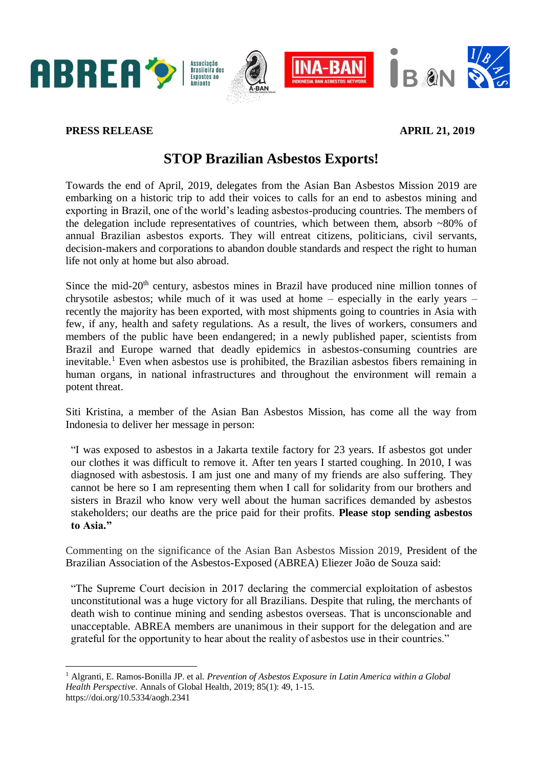

## **PRESS RELEASE APRIL 21, 2019**

**-**

## **STOP Brazilian Asbestos Exports!**

Towards the end of April, 2019, delegates from the Asian Ban Asbestos Mission 2019 are embarking on a historic trip to add their voices to calls for an end to asbestos mining and exporting in Brazil, one of the world's leading asbestos-producing countries. The members of the delegation include representatives of countries, which between them, absorb  $~80\%$  of annual Brazilian asbestos exports. They will entreat citizens, politicians, civil servants, decision-makers and corporations to abandon double standards and respect the right to human life not only at home but also abroad.

Since the mid-20<sup>th</sup> century, asbestos mines in Brazil have produced nine million tonnes of chrysotile asbestos; while much of it was used at home – especially in the early years – recently the majority has been exported, with most shipments going to countries in Asia with few, if any, health and safety regulations. As a result, the lives of workers, consumers and members of the public have been endangered; in a newly published paper, scientists from Brazil and Europe warned that deadly epidemics in asbestos-consuming countries are inevitable.<sup>1</sup> Even when asbestos use is prohibited, the Brazilian asbestos fibers remaining in human organs, in national infrastructures and throughout the environment will remain a potent threat.

Siti Kristina, a member of the Asian Ban Asbestos Mission, has come all the way from Indonesia to deliver her message in person:

"I was exposed to asbestos in a Jakarta textile factory for 23 years. If asbestos got under our clothes it was difficult to remove it. After ten years I started coughing. In 2010, I was diagnosed with asbestosis. I am just one and many of my friends are also suffering. They cannot be here so I am representing them when I call for solidarity from our brothers and sisters in Brazil who know very well about the human sacrifices demanded by asbestos stakeholders; our deaths are the price paid for their profits. **Please stop sending asbestos to Asia."** 

Commenting on the significance of the Asian Ban Asbestos Mission 2019, President of the Brazilian Association of the Asbestos-Exposed (ABREA) Eliezer João de Souza said:

"The Supreme Court decision in 2017 declaring the commercial exploitation of asbestos unconstitutional was a huge victory for all Brazilians. Despite that ruling, the merchants of death wish to continue mining and sending asbestos overseas. That is unconscionable and unacceptable. ABREA members are unanimous in their support for the delegation and are grateful for the opportunity to hear about the reality of asbestos use in their countries."

<sup>1</sup> Algranti, E. Ramos-Bonilla JP. et al. *Prevention of Asbestos Exposure in Latin America within a Global Health Perspective.* Annals of Global Health, 2019; 85(1): 49, 1-15. https://doi.org/10.5334/aogh.2341